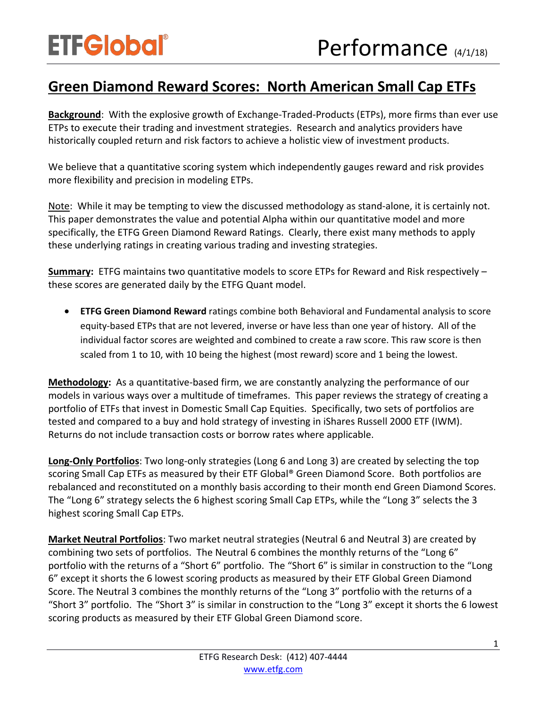## **Green Diamond Reward Scores: North American Small Cap ETFs**

**Background**: With the explosive growth of Exchange-Traded-Products (ETPs), more firms than ever use ETPs to execute their trading and investment strategies. Research and analytics providers have historically coupled return and risk factors to achieve a holistic view of investment products.

We believe that a quantitative scoring system which independently gauges reward and risk provides more flexibility and precision in modeling ETPs.

Note: While it may be tempting to view the discussed methodology as stand-alone, it is certainly not. This paper demonstrates the value and potential Alpha within our quantitative model and more specifically, the ETFG Green Diamond Reward Ratings. Clearly, there exist many methods to apply these underlying ratings in creating various trading and investing strategies.

**Summary:** ETFG maintains two quantitative models to score ETPs for Reward and Risk respectively – these scores are generated daily by the ETFG Quant model.

• **ETFG Green Diamond Reward** ratings combine both Behavioral and Fundamental analysis to score equity-based ETPs that are not levered, inverse or have less than one year of history. All of the individual factor scores are weighted and combined to create a raw score. This raw score is then scaled from 1 to 10, with 10 being the highest (most reward) score and 1 being the lowest.

**Methodology:** As a quantitative-based firm, we are constantly analyzing the performance of our models in various ways over a multitude of timeframes. This paper reviews the strategy of creating a portfolio of ETFs that invest in Domestic Small Cap Equities. Specifically, two sets of portfolios are tested and compared to a buy and hold strategy of investing in iShares Russell 2000 ETF (IWM). Returns do not include transaction costs or borrow rates where applicable.

**Long-Only Portfolios**: Two long-only strategies (Long 6 and Long 3) are created by selecting the top scoring Small Cap ETFs as measured by their ETF Global® Green Diamond Score. Both portfolios are rebalanced and reconstituted on a monthly basis according to their month end Green Diamond Scores. The "Long 6" strategy selects the 6 highest scoring Small Cap ETPs, while the "Long 3" selects the 3 highest scoring Small Cap ETPs.

**Market Neutral Portfolios**: Two market neutral strategies (Neutral 6 and Neutral 3) are created by combining two sets of portfolios. The Neutral 6 combines the monthly returns of the "Long 6" portfolio with the returns of a "Short 6" portfolio. The "Short 6" is similar in construction to the "Long 6" except it shorts the 6 lowest scoring products as measured by their ETF Global Green Diamond Score. The Neutral 3 combines the monthly returns of the "Long 3" portfolio with the returns of a "Short 3" portfolio. The "Short 3" is similar in construction to the "Long 3" except it shorts the 6 lowest scoring products as measured by their ETF Global Green Diamond score.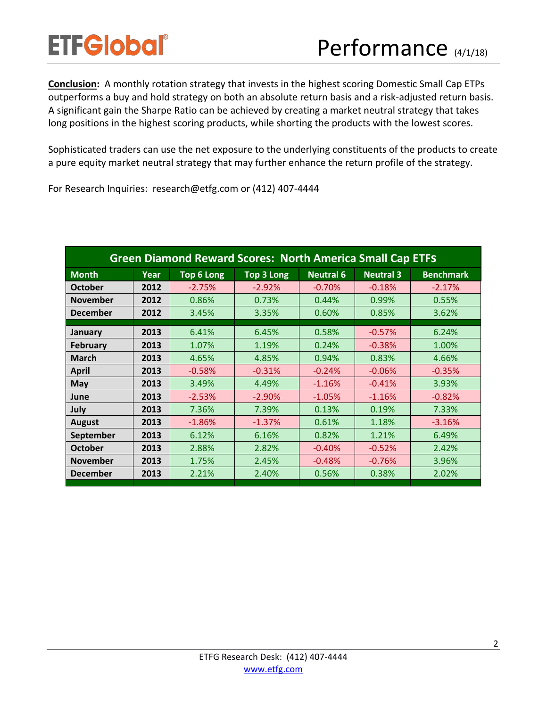**Conclusion:** A monthly rotation strategy that invests in the highest scoring Domestic Small Cap ETPs outperforms a buy and hold strategy on both an absolute return basis and a risk-adjusted return basis. A significant gain the Sharpe Ratio can be achieved by creating a market neutral strategy that takes long positions in the highest scoring products, while shorting the products with the lowest scores.

Sophisticated traders can use the net exposure to the underlying constituents of the products to create a pure equity market neutral strategy that may further enhance the return profile of the strategy.

For Research Inquiries: research@etfg.com or (412) 407-4444

| <b>Green Diamond Reward Scores: North America Small Cap ETFS</b> |      |                   |                   |                  |                  |                  |
|------------------------------------------------------------------|------|-------------------|-------------------|------------------|------------------|------------------|
| <b>Month</b>                                                     | Year | <b>Top 6 Long</b> | <b>Top 3 Long</b> | <b>Neutral 6</b> | <b>Neutral 3</b> | <b>Benchmark</b> |
| <b>October</b>                                                   | 2012 | $-2.75%$          | $-2.92%$          | $-0.70%$         | $-0.18%$         | $-2.17%$         |
| <b>November</b>                                                  | 2012 | 0.86%             | 0.73%             | 0.44%            | 0.99%            | 0.55%            |
| <b>December</b>                                                  | 2012 | 3.45%             | 3.35%             | 0.60%            | 0.85%            | 3.62%            |
| January                                                          | 2013 | 6.41%             | 6.45%             | 0.58%            | $-0.57%$         | 6.24%            |
| <b>February</b>                                                  | 2013 | 1.07%             | 1.19%             | 0.24%            | $-0.38%$         | 1.00%            |
| <b>March</b>                                                     | 2013 | 4.65%             | 4.85%             | 0.94%            | 0.83%            | 4.66%            |
| <b>April</b>                                                     | 2013 | $-0.58%$          | $-0.31%$          | $-0.24%$         | $-0.06%$         | $-0.35%$         |
| May                                                              | 2013 | 3.49%             | 4.49%             | $-1.16%$         | $-0.41%$         | 3.93%            |
| June                                                             | 2013 | $-2.53%$          | $-2.90%$          | $-1.05%$         | $-1.16%$         | $-0.82%$         |
| July                                                             | 2013 | 7.36%             | 7.39%             | 0.13%            | 0.19%            | 7.33%            |
| <b>August</b>                                                    | 2013 | $-1.86%$          | $-1.37%$          | 0.61%            | 1.18%            | $-3.16%$         |
| September                                                        | 2013 | 6.12%             | 6.16%             | 0.82%            | 1.21%            | 6.49%            |
| <b>October</b>                                                   | 2013 | 2.88%             | 2.82%             | $-0.40%$         | $-0.52%$         | 2.42%            |
| <b>November</b>                                                  | 2013 | 1.75%             | 2.45%             | $-0.48%$         | $-0.76%$         | 3.96%            |
| <b>December</b>                                                  | 2013 | 2.21%             | 2.40%             | 0.56%            | 0.38%            | 2.02%            |
|                                                                  |      |                   |                   |                  |                  |                  |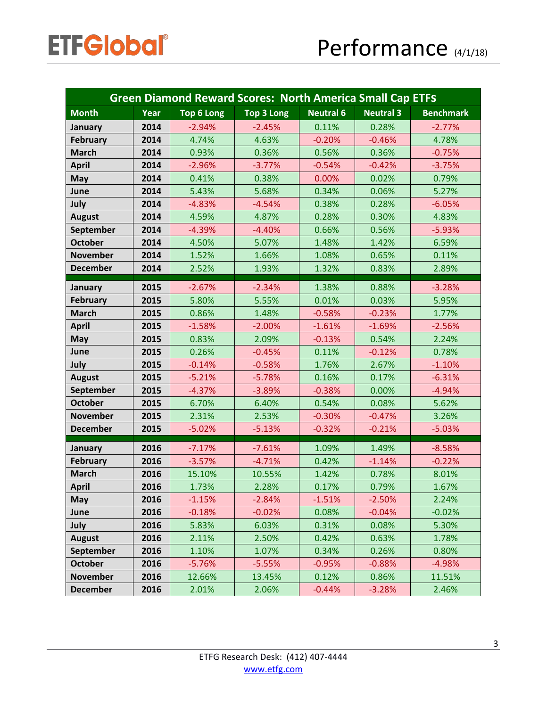| <b>Green Diamond Reward Scores: North America Small Cap ETFS</b> |      |                   |                   |                  |                  |                  |
|------------------------------------------------------------------|------|-------------------|-------------------|------------------|------------------|------------------|
| <b>Month</b>                                                     | Year | <b>Top 6 Long</b> | <b>Top 3 Long</b> | <b>Neutral 6</b> | <b>Neutral 3</b> | <b>Benchmark</b> |
| January                                                          | 2014 | $-2.94%$          | $-2.45%$          | 0.11%            | 0.28%            | $-2.77%$         |
| <b>February</b>                                                  | 2014 | 4.74%             | 4.63%             | $-0.20%$         | $-0.46%$         | 4.78%            |
| <b>March</b>                                                     | 2014 | 0.93%             | 0.36%             | 0.56%            | 0.36%            | $-0.75%$         |
| <b>April</b>                                                     | 2014 | $-2.96%$          | $-3.77%$          | $-0.54%$         | $-0.42%$         | $-3.75%$         |
| <b>May</b>                                                       | 2014 | 0.41%             | 0.38%             | 0.00%            | 0.02%            | 0.79%            |
| June                                                             | 2014 | 5.43%             | 5.68%             | 0.34%            | 0.06%            | 5.27%            |
| July                                                             | 2014 | $-4.83%$          | $-4.54%$          | 0.38%            | 0.28%            | $-6.05%$         |
| <b>August</b>                                                    | 2014 | 4.59%             | 4.87%             | 0.28%            | 0.30%            | 4.83%            |
| September                                                        | 2014 | $-4.39%$          | $-4.40%$          | 0.66%            | 0.56%            | $-5.93%$         |
| <b>October</b>                                                   | 2014 | 4.50%             | 5.07%             | 1.48%            | 1.42%            | 6.59%            |
| <b>November</b>                                                  | 2014 | 1.52%             | 1.66%             | 1.08%            | 0.65%            | 0.11%            |
| <b>December</b>                                                  | 2014 | 2.52%             | 1.93%             | 1.32%            | 0.83%            | 2.89%            |
| January                                                          | 2015 | $-2.67%$          | $-2.34%$          | 1.38%            | 0.88%            | $-3.28%$         |
| <b>February</b>                                                  | 2015 | 5.80%             | 5.55%             | 0.01%            | 0.03%            | 5.95%            |
| <b>March</b>                                                     | 2015 | 0.86%             | 1.48%             | $-0.58%$         | $-0.23%$         | 1.77%            |
| <b>April</b>                                                     | 2015 | $-1.58%$          | $-2.00%$          | $-1.61%$         | $-1.69%$         | $-2.56%$         |
| <b>May</b>                                                       | 2015 | 0.83%             | 2.09%             | $-0.13%$         | 0.54%            | 2.24%            |
| June                                                             | 2015 | 0.26%             | $-0.45%$          | 0.11%            | $-0.12%$         | 0.78%            |
| July                                                             | 2015 | $-0.14%$          | $-0.58%$          | 1.76%            | 2.67%            | $-1.10%$         |
| <b>August</b>                                                    | 2015 | $-5.21%$          | $-5.78%$          | 0.16%            | 0.17%            | $-6.31%$         |
| September                                                        | 2015 | $-4.37%$          | $-3.89%$          | $-0.38%$         | 0.00%            | $-4.94%$         |
| <b>October</b>                                                   | 2015 | 6.70%             | 6.40%             | 0.54%            | 0.08%            | 5.62%            |
| <b>November</b>                                                  | 2015 | 2.31%             | 2.53%             | $-0.30%$         | $-0.47%$         | 3.26%            |
| <b>December</b>                                                  | 2015 | $-5.02%$          | $-5.13%$          | $-0.32%$         | $-0.21%$         | $-5.03%$         |
| January                                                          | 2016 | $-7.17%$          | $-7.61%$          | 1.09%            | 1.49%            | $-8.58%$         |
| <b>February</b>                                                  | 2016 | $-3.57%$          | $-4.71%$          | 0.42%            | $-1.14%$         | $-0.22%$         |
| <b>March</b>                                                     | 2016 | 15.10%            | 10.55%            | 1.42%            | 0.78%            | 8.01%            |
| <b>April</b>                                                     | 2016 | 1.73%             | 2.28%             | 0.17%            | 0.79%            | 1.67%            |
| <b>May</b>                                                       | 2016 | $-1.15%$          | $-2.84%$          | $-1.51%$         | $-2.50%$         | 2.24%            |
| June                                                             | 2016 | $-0.18%$          | $-0.02%$          | 0.08%            | $-0.04%$         | $-0.02%$         |
| July                                                             | 2016 | 5.83%             | 6.03%             | 0.31%            | 0.08%            | 5.30%            |
| <b>August</b>                                                    | 2016 | 2.11%             | 2.50%             | 0.42%            | 0.63%            | 1.78%            |
| September                                                        | 2016 | 1.10%             | 1.07%             | 0.34%            | 0.26%            | 0.80%            |
| <b>October</b>                                                   | 2016 | $-5.76%$          | $-5.55%$          | $-0.95%$         | $-0.88%$         | $-4.98%$         |
| <b>November</b>                                                  | 2016 | 12.66%            | 13.45%            | 0.12%            | 0.86%            | 11.51%           |
| <b>December</b>                                                  | 2016 | 2.01%             | 2.06%             | $-0.44%$         | $-3.28%$         | 2.46%            |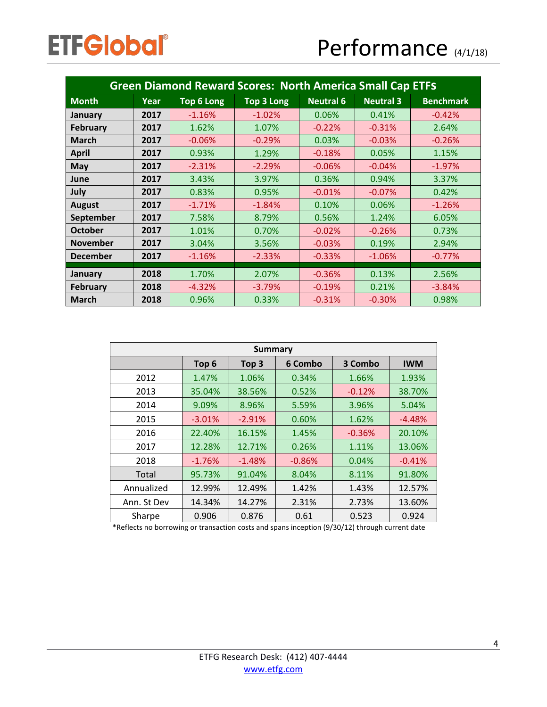| <b>Green Diamond Reward Scores: North America Small Cap ETFS</b> |      |                   |                   |                  |                  |                  |
|------------------------------------------------------------------|------|-------------------|-------------------|------------------|------------------|------------------|
| <b>Month</b>                                                     | Year | <b>Top 6 Long</b> | <b>Top 3 Long</b> | <b>Neutral 6</b> | <b>Neutral 3</b> | <b>Benchmark</b> |
| January                                                          | 2017 | $-1.16%$          | $-1.02%$          | 0.06%            | 0.41%            | $-0.42%$         |
| <b>February</b>                                                  | 2017 | 1.62%             | 1.07%             | $-0.22%$         | $-0.31%$         | 2.64%            |
| <b>March</b>                                                     | 2017 | $-0.06%$          | $-0.29%$          | 0.03%            | $-0.03%$         | $-0.26%$         |
| <b>April</b>                                                     | 2017 | 0.93%             | 1.29%             | $-0.18%$         | 0.05%            | 1.15%            |
| May                                                              | 2017 | $-2.31%$          | $-2.29%$          | $-0.06%$         | $-0.04%$         | $-1.97%$         |
| June                                                             | 2017 | 3.43%             | 3.97%             | 0.36%            | 0.94%            | 3.37%            |
| July                                                             | 2017 | 0.83%             | 0.95%             | $-0.01%$         | $-0.07%$         | 0.42%            |
| <b>August</b>                                                    | 2017 | $-1.71%$          | $-1.84%$          | 0.10%            | 0.06%            | $-1.26%$         |
| September                                                        | 2017 | 7.58%             | 8.79%             | 0.56%            | 1.24%            | 6.05%            |
| <b>October</b>                                                   | 2017 | 1.01%             | 0.70%             | $-0.02%$         | $-0.26%$         | 0.73%            |
| <b>November</b>                                                  | 2017 | 3.04%             | 3.56%             | $-0.03%$         | 0.19%            | 2.94%            |
| <b>December</b>                                                  | 2017 | $-1.16%$          | $-2.33%$          | $-0.33%$         | $-1.06%$         | $-0.77%$         |
| January                                                          | 2018 | 1.70%             | 2.07%             | $-0.36%$         | 0.13%            | 2.56%            |
| <b>February</b>                                                  | 2018 | $-4.32%$          | $-3.79%$          | $-0.19%$         | 0.21%            | $-3.84%$         |
| <b>March</b>                                                     | 2018 | 0.96%             | 0.33%             | $-0.31%$         | $-0.30%$         | 0.98%            |

| <b>Summary</b> |                  |                  |          |          |            |  |
|----------------|------------------|------------------|----------|----------|------------|--|
|                | Top <sub>6</sub> | Top <sub>3</sub> | 6 Combo  | 3 Combo  | <b>IWM</b> |  |
| 2012           | 1.47%            | 1.06%            | 0.34%    | 1.66%    | 1.93%      |  |
| 2013           | 35.04%           | 38.56%           | 0.52%    | $-0.12%$ | 38.70%     |  |
| 2014           | 9.09%            | 8.96%            | 5.59%    | 3.96%    | 5.04%      |  |
| 2015           | $-3.01%$         | $-2.91%$         | 0.60%    | 1.62%    | $-4.48%$   |  |
| 2016           | 22.40%           | 16.15%           | 1.45%    | $-0.36%$ | 20.10%     |  |
| 2017           | 12.28%           | 12.71%           | 0.26%    | 1.11%    | 13.06%     |  |
| 2018           | $-1.76%$         | $-1.48%$         | $-0.86%$ | 0.04%    | $-0.41%$   |  |
| Total          | 95.73%           | 91.04%           | 8.04%    | 8.11%    | 91.80%     |  |
| Annualized     | 12.99%           | 12.49%           | 1.42%    | 1.43%    | 12.57%     |  |
| Ann. St Dev    | 14.34%           | 14.27%           | 2.31%    | 2.73%    | 13.60%     |  |
| Sharpe         | 0.906            | 0.876            | 0.61     | 0.523    | 0.924      |  |

\*Reflects no borrowing or transaction costs and spans inception (9/30/12) through current date